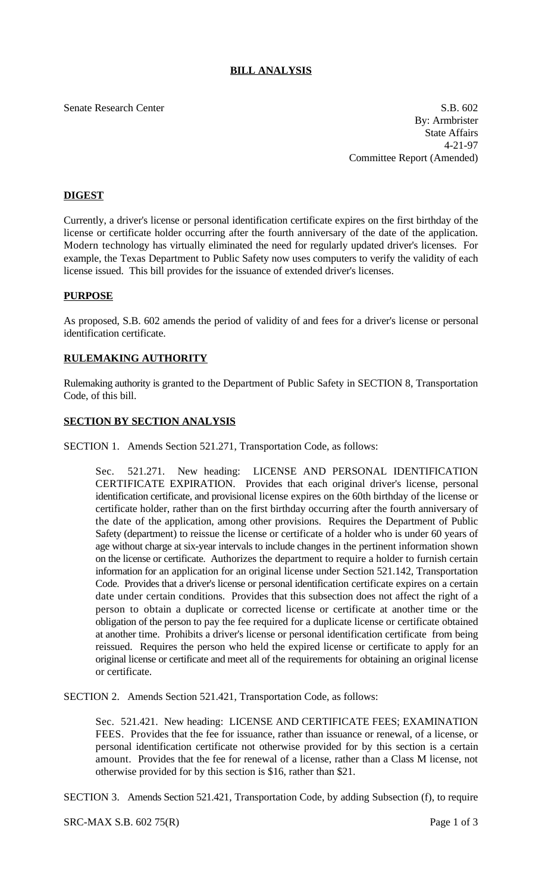# **BILL ANALYSIS**

#### Senate Research Center S.B. 602

By: Armbrister State Affairs 4-21-97 Committee Report (Amended)

## **DIGEST**

Currently, a driver's license or personal identification certificate expires on the first birthday of the license or certificate holder occurring after the fourth anniversary of the date of the application. Modern technology has virtually eliminated the need for regularly updated driver's licenses. For example, the Texas Department to Public Safety now uses computers to verify the validity of each license issued. This bill provides for the issuance of extended driver's licenses.

## **PURPOSE**

As proposed, S.B. 602 amends the period of validity of and fees for a driver's license or personal identification certificate.

#### **RULEMAKING AUTHORITY**

Rulemaking authority is granted to the Department of Public Safety in SECTION 8, Transportation Code, of this bill.

## **SECTION BY SECTION ANALYSIS**

SECTION 1. Amends Section 521.271, Transportation Code, as follows:

Sec. 521.271. New heading: LICENSE AND PERSONAL IDENTIFICATION CERTIFICATE EXPIRATION. Provides that each original driver's license, personal identification certificate, and provisional license expires on the 60th birthday of the license or certificate holder, rather than on the first birthday occurring after the fourth anniversary of the date of the application, among other provisions. Requires the Department of Public Safety (department) to reissue the license or certificate of a holder who is under 60 years of age without charge at six-year intervals to include changes in the pertinent information shown on the license or certificate. Authorizes the department to require a holder to furnish certain information for an application for an original license under Section 521.142, Transportation Code. Provides that a driver's license or personal identification certificate expires on a certain date under certain conditions. Provides that this subsection does not affect the right of a person to obtain a duplicate or corrected license or certificate at another time or the obligation of the person to pay the fee required for a duplicate license or certificate obtained at another time. Prohibits a driver's license or personal identification certificate from being reissued. Requires the person who held the expired license or certificate to apply for an original license or certificate and meet all of the requirements for obtaining an original license or certificate.

SECTION 2. Amends Section 521.421, Transportation Code, as follows:

Sec. 521.421. New heading: LICENSE AND CERTIFICATE FEES; EXAMINATION FEES. Provides that the fee for issuance, rather than issuance or renewal, of a license, or personal identification certificate not otherwise provided for by this section is a certain amount. Provides that the fee for renewal of a license, rather than a Class M license, not otherwise provided for by this section is \$16, rather than \$21.

SECTION 3. Amends Section 521.421, Transportation Code, by adding Subsection (f), to require

SRC-MAX S.B. 602 75(R) Page 1 of 3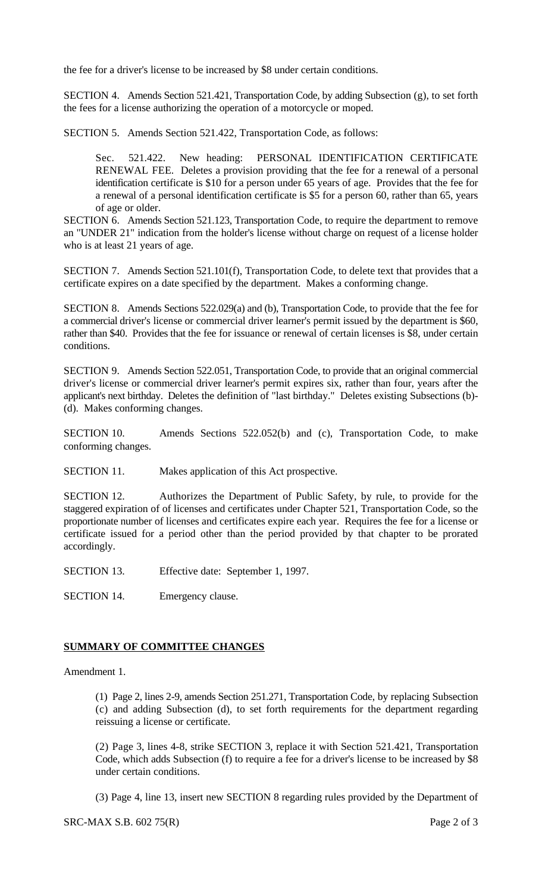the fee for a driver's license to be increased by \$8 under certain conditions.

SECTION 4. Amends Section 521.421, Transportation Code, by adding Subsection (g), to set forth the fees for a license authorizing the operation of a motorcycle or moped.

SECTION 5. Amends Section 521.422, Transportation Code, as follows:

Sec. 521.422. New heading: PERSONAL IDENTIFICATION CERTIFICATE RENEWAL FEE. Deletes a provision providing that the fee for a renewal of a personal identification certificate is \$10 for a person under 65 years of age. Provides that the fee for a renewal of a personal identification certificate is \$5 for a person 60, rather than 65, years of age or older.

SECTION 6. Amends Section 521.123, Transportation Code, to require the department to remove an "UNDER 21" indication from the holder's license without charge on request of a license holder who is at least 21 years of age.

SECTION 7. Amends Section 521.101(f), Transportation Code, to delete text that provides that a certificate expires on a date specified by the department. Makes a conforming change.

SECTION 8. Amends Sections 522.029(a) and (b), Transportation Code, to provide that the fee for a commercial driver's license or commercial driver learner's permit issued by the department is \$60, rather than \$40. Provides that the fee for issuance or renewal of certain licenses is \$8, under certain conditions.

SECTION 9. Amends Section 522.051, Transportation Code, to provide that an original commercial driver's license or commercial driver learner's permit expires six, rather than four, years after the applicant's next birthday. Deletes the definition of "last birthday." Deletes existing Subsections (b)- (d). Makes conforming changes.

SECTION 10. Amends Sections 522.052(b) and (c), Transportation Code, to make conforming changes.

SECTION 11. Makes application of this Act prospective.

SECTION 12. Authorizes the Department of Public Safety, by rule, to provide for the staggered expiration of of licenses and certificates under Chapter 521, Transportation Code, so the proportionate number of licenses and certificates expire each year. Requires the fee for a license or certificate issued for a period other than the period provided by that chapter to be prorated accordingly.

SECTION 13. Effective date: September 1, 1997.

SECTION 14. Emergency clause.

## **SUMMARY OF COMMITTEE CHANGES**

Amendment 1.

(1) Page 2, lines 2-9, amends Section 251.271, Transportation Code, by replacing Subsection (c) and adding Subsection (d), to set forth requirements for the department regarding reissuing a license or certificate.

(2) Page 3, lines 4-8, strike SECTION 3, replace it with Section 521.421, Transportation Code, which adds Subsection (f) to require a fee for a driver's license to be increased by \$8 under certain conditions.

(3) Page 4, line 13, insert new SECTION 8 regarding rules provided by the Department of